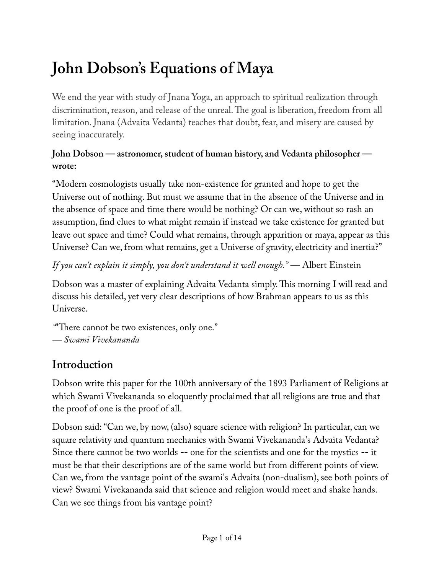# **John Dobson's Equations of Maya**

We end the year with study of Jnana Yoga, an approach to spiritual realization through discrimination, reason, and release of the unreal. The goal is liberation, freedom from all limitation. Jnana (Advaita Vedanta) teaches that doubt, fear, and misery are caused by seeing inaccurately.

#### **John Dobson — astronomer, student of human history, and Vedanta philosopher wrote:**

"Modern cosmologists usually take non-existence for granted and hope to get the Universe out of nothing. But must we assume that in the absence of the Universe and in the absence of space and time there would be nothing? Or can we, without so rash an assumption, find clues to what might remain if instead we take existence for granted but leave out space and time? Could what remains, through apparition or maya, appear as this Universe? Can we, from what remains, get a Universe of gravity, electricity and inertia?"

*If you can't explain it simply, you don't understand it well enough."* — Albert Einstein

Dobson was a master of explaining Advaita Vedanta simply. This morning I will read and discuss his detailed, yet very clear descriptions of how Brahman appears to us as this Universe.

```
"There cannot be two existences, only one."
— Swami Vivekananda
```
# **Introduction**

Dobson write this paper for the 100th anniversary of the 1893 Parliament of Religions at which Swami Vivekananda so eloquently proclaimed that all religions are true and that the proof of one is the proof of all.

Dobson said: "Can we, by now, (also) square science with religion? In particular, can we square relativity and quantum mechanics with Swami Vivekananda's Advaita Vedanta? Since there cannot be two worlds -- one for the scientists and one for the mystics -- it must be that their descriptions are of the same world but from different points of view. Can we, from the vantage point of the swami's Advaita (non-dualism), see both points of view? Swami Vivekananda said that science and religion would meet and shake hands. Can we see things from his vantage point?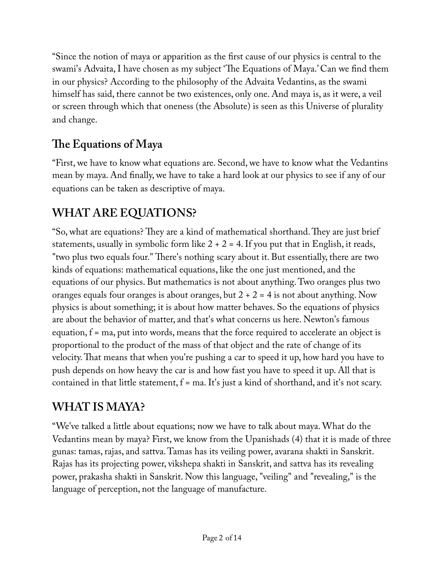"Since the notion of maya or apparition as the first cause of our physics is central to the swami's Advaita, I have chosen as my subject 'The Equations of Maya.' Can we find them in our physics? According to the philosophy of the Advaita Vedantins, as the swami himself has said, there cannot be two existences, only one. And maya is, as it were, a veil or screen through which that oneness (the Absolute) is seen as this Universe of plurality and change.

#### **Te Equations of Maya**

"First, we have to know what equations are. Second, we have to know what the Vedantins mean by maya. And finally, we have to take a hard look at our physics to see if any of our equations can be taken as descriptive of maya.

# **WHAT ARE EQUATIONS?**

"So, what are equations? They are a kind of mathematical shorthand. They are just brief statements, usually in symbolic form like  $2 + 2 = 4$ . If you put that in English, it reads, "two plus two equals four." There's nothing scary about it. But essentially, there are two kinds of equations: mathematical equations, like the one just mentioned, and the equations of our physics. But mathematics is not about anything. Two oranges plus two oranges equals four oranges is about oranges, but  $2 + 2 = 4$  is not about anything. Now physics is about something; it is about how matter behaves. So the equations of physics are about the behavior of matter, and that's what concerns us here. Newton's famous equation,  $f = ma$ , put into words, means that the force required to accelerate an object is proportional to the product of the mass of that object and the rate of change of its velocity. That means that when you're pushing a car to speed it up, how hard you have to push depends on how heavy the car is and how fast you have to speed it up. All that is contained in that little statement,  $f = ma$ . It's just a kind of shorthand, and it's not scary.

#### **WHAT IS MAYA?**

"We've talked a little about equations; now we have to talk about maya. What do the Vedantins mean by maya? First, we know from the Upanishads (4) that it is made of three gunas: tamas, rajas, and sattva. Tamas has its veiling power, avarana shakti in Sanskrit. Rajas has its projecting power, vikshepa shakti in Sanskrit, and sattva has its revealing power, prakasha shakti in Sanskrit. Now this language, "veiling" and "revealing," is the language of perception, not the language of manufacture.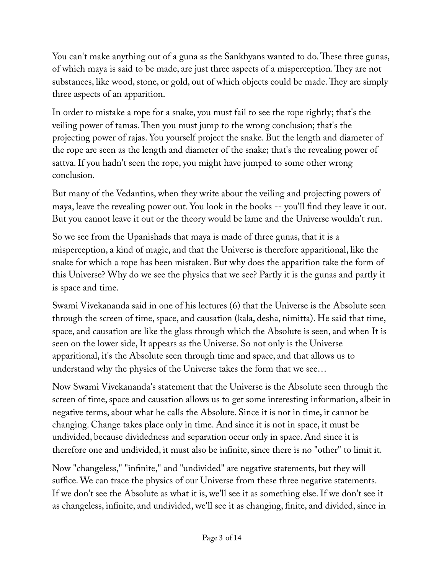You can't make anything out of a guna as the Sankhyans wanted to do. These three gunas, of which maya is said to be made, are just three aspects of a misperception. They are not substances, like wood, stone, or gold, out of which objects could be made. They are simply three aspects of an apparition.

In order to mistake a rope for a snake, you must fail to see the rope rightly; that's the veiling power of tamas. Then you must jump to the wrong conclusion; that's the projecting power of rajas. You yourself project the snake. But the length and diameter of the rope are seen as the length and diameter of the snake; that's the revealing power of sattva. If you hadn't seen the rope, you might have jumped to some other wrong conclusion.

But many of the Vedantins, when they write about the veiling and projecting powers of maya, leave the revealing power out. You look in the books -- you'll find they leave it out. But you cannot leave it out or the theory would be lame and the Universe wouldn't run.

So we see from the Upanishads that maya is made of three gunas, that it is a misperception, a kind of magic, and that the Universe is therefore apparitional, like the snake for which a rope has been mistaken. But why does the apparition take the form of this Universe? Why do we see the physics that we see? Partly it is the gunas and partly it is space and time.

Swami Vivekananda said in one of his lectures (6) that the Universe is the Absolute seen through the screen of time, space, and causation (kala, desha, nimitta). He said that time, space, and causation are like the glass through which the Absolute is seen, and when It is seen on the lower side, It appears as the Universe. So not only is the Universe apparitional, it's the Absolute seen through time and space, and that allows us to understand why the physics of the Universe takes the form that we see…

Now Swami Vivekananda's statement that the Universe is the Absolute seen through the screen of time, space and causation allows us to get some interesting information, albeit in negative terms, about what he calls the Absolute. Since it is not in time, it cannot be changing. Change takes place only in time. And since it is not in space, it must be undivided, because dividedness and separation occur only in space. And since it is therefore one and undivided, it must also be infinite, since there is no "other" to limit it.

Now "changeless," "infinite," and "undivided" are negative statements, but they will suffice. We can trace the physics of our Universe from these three negative statements. If we don't see the Absolute as what it is, we'll see it as something else. If we don't see it as changeless, infinite, and undivided, we'll see it as changing, finite, and divided, since in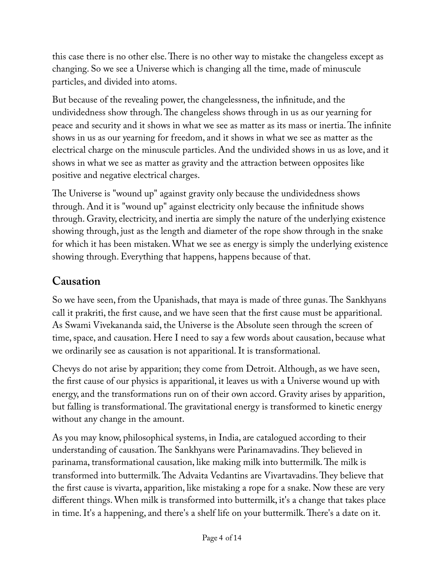this case there is no other else. There is no other way to mistake the changeless except as changing. So we see a Universe which is changing all the time, made of minuscule particles, and divided into atoms.

But because of the revealing power, the changelessness, the infinitude, and the undividedness show through. The changeless shows through in us as our yearning for peace and security and it shows in what we see as matter as its mass or inertia. The infinite shows in us as our yearning for freedom, and it shows in what we see as matter as the electrical charge on the minuscule particles. And the undivided shows in us as love, and it shows in what we see as matter as gravity and the attraction between opposites like positive and negative electrical charges.

The Universe is "wound up" against gravity only because the undividedness shows through. And it is "wound up" against electricity only because the infinitude shows through. Gravity, electricity, and inertia are simply the nature of the underlying existence showing through, just as the length and diameter of the rope show through in the snake for which it has been mistaken. What we see as energy is simply the underlying existence showing through. Everything that happens, happens because of that.

#### **Causation**

So we have seen, from the Upanishads, that maya is made of three gunas. The Sankhyans call it prakriti, the first cause, and we have seen that the first cause must be apparitional. As Swami Vivekananda said, the Universe is the Absolute seen through the screen of time, space, and causation. Here I need to say a few words about causation, because what we ordinarily see as causation is not apparitional. It is transformational.

Chevys do not arise by apparition; they come from Detroit. Although, as we have seen, the first cause of our physics is apparitional, it leaves us with a Universe wound up with energy, and the transformations run on of their own accord. Gravity arises by apparition, but falling is transformational. The gravitational energy is transformed to kinetic energy without any change in the amount.

As you may know, philosophical systems, in India, are catalogued according to their understanding of causation. The Sankhyans were Parinamavadins. They believed in parinama, transformational causation, like making milk into buttermilk. The milk is transformed into buttermilk. The Advaita Vedantins are Vivartavadins. They believe that the first cause is vivarta, apparition, like mistaking a rope for a snake. Now these are very different things. When milk is transformed into buttermilk, it's a change that takes place in time. It's a happening, and there's a shelf life on your buttermilk. There's a date on it.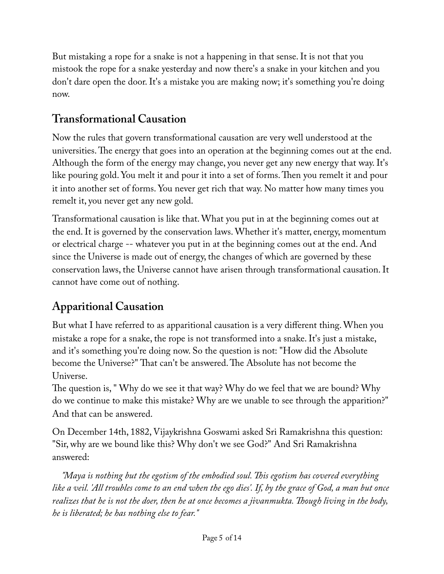But mistaking a rope for a snake is not a happening in that sense. It is not that you mistook the rope for a snake yesterday and now there's a snake in your kitchen and you don't dare open the door. It's a mistake you are making now; it's something you're doing now.

#### **Transformational Causation**

Now the rules that govern transformational causation are very well understood at the universities. The energy that goes into an operation at the beginning comes out at the end. Although the form of the energy may change, you never get any new energy that way. It's like pouring gold. You melt it and pour it into a set of forms. Then you remelt it and pour it into another set of forms. You never get rich that way. No matter how many times you remelt it, you never get any new gold.

Transformational causation is like that. What you put in at the beginning comes out at the end. It is governed by the conservation laws. Whether it's matter, energy, momentum or electrical charge -- whatever you put in at the beginning comes out at the end. And since the Universe is made out of energy, the changes of which are governed by these conservation laws, the Universe cannot have arisen through transformational causation. It cannot have come out of nothing.

# **Apparitional Causation**

But what I have referred to as apparitional causation is a very different thing. When you mistake a rope for a snake, the rope is not transformed into a snake. It's just a mistake, and it's something you're doing now. So the question is not: "How did the Absolute become the Universe?" That can't be answered. The Absolute has not become the Universe.

The question is, " Why do we see it that way? Why do we feel that we are bound? Why do we continue to make this mistake? Why are we unable to see through the apparition?" And that can be answered.

On December 14th, 1882, Vijaykrishna Goswami asked Sri Ramakrishna this question: "Sir, why are we bound like this? Why don't we see God?" And Sri Ramakrishna answered:

 *"Maya is nothing but the egotism of the embodied soul. Tis egotism has covered everything like a veil. 'All troubles come to an end when the ego dies'. If, by the grace of God, a man but once realizes that he is not the doer, then he at once becomes a jivanmukta. Tough living in the body, he is liberated; he has nothing else to fear."*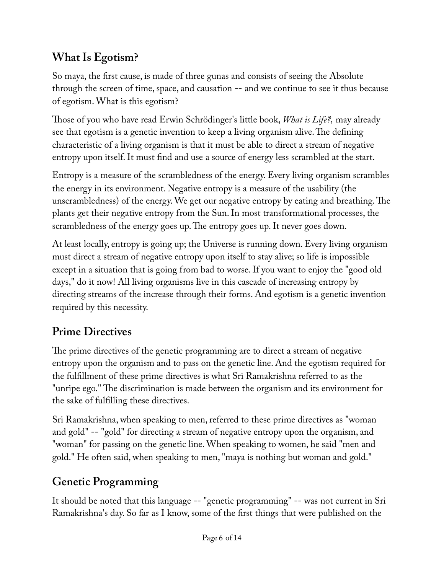# **What Is Egotism?**

So maya, the first cause, is made of three gunas and consists of seeing the Absolute through the screen of time, space, and causation -- and we continue to see it thus because of egotism. What is this egotism?

Those of you who have read Erwin Schrödinger's little book, *What is Life?*, may already see that egotism is a genetic invention to keep a living organism alive. The defining characteristic of a living organism is that it must be able to direct a stream of negative entropy upon itself. It must find and use a source of energy less scrambled at the start.

Entropy is a measure of the scrambledness of the energy. Every living organism scrambles the energy in its environment. Negative entropy is a measure of the usability (the unscrambledness) of the energy. We get our negative entropy by eating and breathing. The plants get their negative entropy from the Sun. In most transformational processes, the scrambledness of the energy goes up. The entropy goes up. It never goes down.

At least locally, entropy is going up; the Universe is running down. Every living organism must direct a stream of negative entropy upon itself to stay alive; so life is impossible except in a situation that is going from bad to worse. If you want to enjoy the "good old days," do it now! All living organisms live in this cascade of increasing entropy by directing streams of the increase through their forms. And egotism is a genetic invention required by this necessity.

# **Prime Directives**

The prime directives of the genetic programming are to direct a stream of negative entropy upon the organism and to pass on the genetic line. And the egotism required for the fulfillment of these prime directives is what Sri Ramakrishna referred to as the "unripe ego." The discrimination is made between the organism and its environment for the sake of fulfilling these directives.

Sri Ramakrishna, when speaking to men, referred to these prime directives as "woman and gold" -- "gold" for directing a stream of negative entropy upon the organism, and "woman" for passing on the genetic line. When speaking to women, he said "men and gold." He often said, when speaking to men, "maya is nothing but woman and gold."

# **Genetic Programming**

It should be noted that this language -- "genetic programming" -- was not current in Sri Ramakrishna's day. So far as I know, some of the first things that were published on the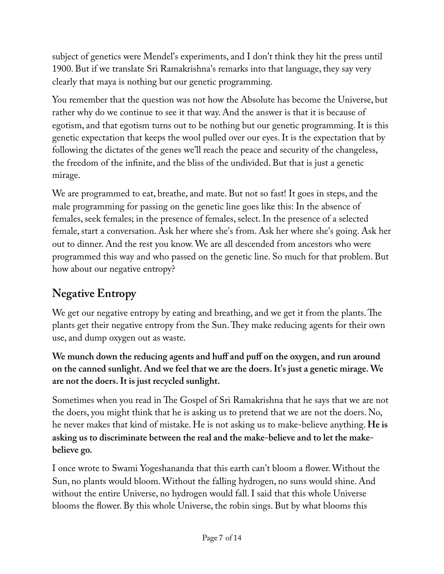subject of genetics were Mendel's experiments, and I don't think they hit the press until 1900. But if we translate Sri Ramakrishna's remarks into that language, they say very clearly that maya is nothing but our genetic programming.

You remember that the question was not how the Absolute has become the Universe, but rather why do we continue to see it that way. And the answer is that it is because of egotism, and that egotism turns out to be nothing but our genetic programming. It is this genetic expectation that keeps the wool pulled over our eyes. It is the expectation that by following the dictates of the genes we'll reach the peace and security of the changeless, the freedom of the infinite, and the bliss of the undivided. But that is just a genetic mirage.

We are programmed to eat, breathe, and mate. But not so fast! It goes in steps, and the male programming for passing on the genetic line goes like this: In the absence of females, seek females; in the presence of females, select. In the presence of a selected female, start a conversation. Ask her where she's from. Ask her where she's going. Ask her out to dinner. And the rest you know. We are all descended from ancestors who were programmed this way and who passed on the genetic line. So much for that problem. But how about our negative entropy?

# **Negative Entropy**

We get our negative entropy by eating and breathing, and we get it from the plants. The plants get their negative entropy from the Sun. They make reducing agents for their own use, and dump oxygen out as waste.

We munch down the reducing agents and huff and puff on the oxygen, and run around **on the canned sunlight. And we feel that we are the doers. It's just a genetic mirage. We are not the doers. It is just recycled sunlight.**

Sometimes when you read in The Gospel of Sri Ramakrishna that he says that we are not the doers, you might think that he is asking us to pretend that we are not the doers. No, he never makes that kind of mistake. He is not asking us to make-believe anything. **He is asking us to discriminate between the real and the make-believe and to let the makebelieve go.** 

I once wrote to Swami Yogeshananda that this earth can't bloom a flower. Without the Sun, no plants would bloom. Without the falling hydrogen, no suns would shine. And without the entire Universe, no hydrogen would fall. I said that this whole Universe blooms the flower. By this whole Universe, the robin sings. But by what blooms this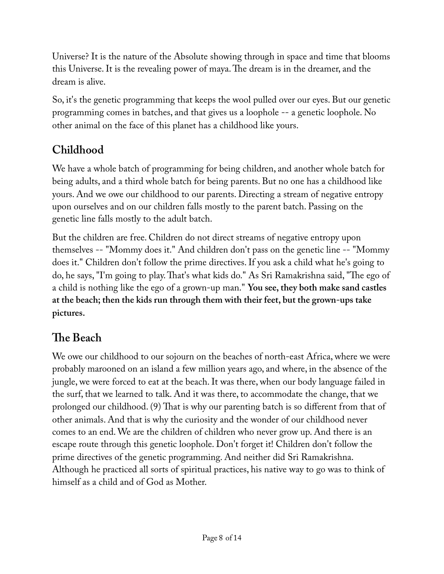Universe? It is the nature of the Absolute showing through in space and time that blooms this Universe. It is the revealing power of maya. The dream is in the dreamer, and the dream is alive.

So, it's the genetic programming that keeps the wool pulled over our eyes. But our genetic programming comes in batches, and that gives us a loophole -- a genetic loophole. No other animal on the face of this planet has a childhood like yours.

#### **Childhood**

We have a whole batch of programming for being children, and another whole batch for being adults, and a third whole batch for being parents. But no one has a childhood like yours. And we owe our childhood to our parents. Directing a stream of negative entropy upon ourselves and on our children falls mostly to the parent batch. Passing on the genetic line falls mostly to the adult batch.

But the children are free. Children do not direct streams of negative entropy upon themselves -- "Mommy does it." And children don't pass on the genetic line -- "Mommy does it." Children don't follow the prime directives. If you ask a child what he's going to do, he says, "I'm going to play. That's what kids do." As Sri Ramakrishna said, "The ego of a child is nothing like the ego of a grown-up man." **You see, they both make sand castles at the beach; then the kids run through them with their feet, but the grown-ups take pictures.**

# **The Beach**

We owe our childhood to our sojourn on the beaches of north-east Africa, where we were probably marooned on an island a few million years ago, and where, in the absence of the jungle, we were forced to eat at the beach. It was there, when our body language failed in the surf, that we learned to talk. And it was there, to accommodate the change, that we prolonged our childhood. (9) That is why our parenting batch is so different from that of other animals. And that is why the curiosity and the wonder of our childhood never comes to an end. We are the children of children who never grow up. And there is an escape route through this genetic loophole. Don't forget it! Children don't follow the prime directives of the genetic programming. And neither did Sri Ramakrishna. Although he practiced all sorts of spiritual practices, his native way to go was to think of himself as a child and of God as Mother.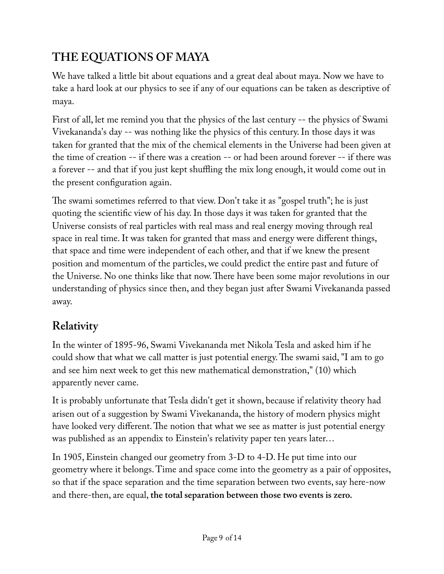# **THE EQUATIONS OF MAYA**

We have talked a little bit about equations and a great deal about maya. Now we have to take a hard look at our physics to see if any of our equations can be taken as descriptive of maya.

First of all, let me remind you that the physics of the last century -- the physics of Swami Vivekananda's day -- was nothing like the physics of this century. In those days it was taken for granted that the mix of the chemical elements in the Universe had been given at the time of creation -- if there was a creation -- or had been around forever -- if there was a forever -- and that if you just kept shuffling the mix long enough, it would come out in the present configuration again.

The swami sometimes referred to that view. Don't take it as "gospel truth"; he is just quoting the scientific view of his day. In those days it was taken for granted that the Universe consists of real particles with real mass and real energy moving through real space in real time. It was taken for granted that mass and energy were different things, that space and time were independent of each other, and that if we knew the present position and momentum of the particles, we could predict the entire past and future of the Universe. No one thinks like that now. There have been some major revolutions in our understanding of physics since then, and they began just after Swami Vivekananda passed away.

# **Relativity**

In the winter of 1895-96, Swami Vivekananda met Nikola Tesla and asked him if he could show that what we call matter is just potential energy. The swami said, "I am to go and see him next week to get this new mathematical demonstration," (10) which apparently never came.

It is probably unfortunate that Tesla didn't get it shown, because if relativity theory had arisen out of a suggestion by Swami Vivekananda, the history of modern physics might have looked very different. The notion that what we see as matter is just potential energy was published as an appendix to Einstein's relativity paper ten years later…

In 1905, Einstein changed our geometry from 3-D to 4-D. He put time into our geometry where it belongs. Time and space come into the geometry as a pair of opposites, so that if the space separation and the time separation between two events, say here-now and there-then, are equal, **the total separation between those two events is zero.**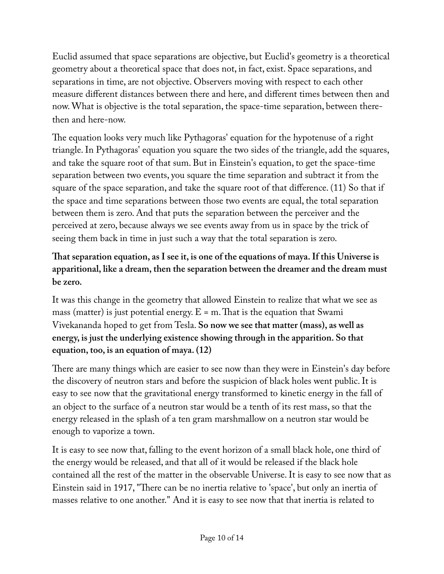Euclid assumed that space separations are objective, but Euclid's geometry is a theoretical geometry about a theoretical space that does not, in fact, exist. Space separations, and separations in time, are not objective. Observers moving with respect to each other measure different distances between there and here, and different times between then and now. What is objective is the total separation, the space-time separation, between therethen and here-now.

The equation looks very much like Pythagoras' equation for the hypotenuse of a right triangle. In Pythagoras' equation you square the two sides of the triangle, add the squares, and take the square root of that sum. But in Einstein's equation, to get the space-time separation between two events, you square the time separation and subtract it from the square of the space separation, and take the square root of that difference. (11) So that if the space and time separations between those two events are equal, the total separation between them is zero. And that puts the separation between the perceiver and the perceived at zero, because always we see events away from us in space by the trick of seeing them back in time in just such a way that the total separation is zero.

#### That separation equation, as I see it, is one of the equations of maya. If this Universe is **apparitional, like a dream, then the separation between the dreamer and the dream must be zero.**

It was this change in the geometry that allowed Einstein to realize that what we see as mass (matter) is just potential energy.  $E = m$ . That is the equation that Swami Vivekananda hoped to get from Tesla. **So now we see that matter (mass), as well as energy, is just the underlying existence showing through in the apparition. So that equation, too, is an equation of maya. (12)**

There are many things which are easier to see now than they were in Einstein's day before the discovery of neutron stars and before the suspicion of black holes went public. It is easy to see now that the gravitational energy transformed to kinetic energy in the fall of an object to the surface of a neutron star would be a tenth of its rest mass, so that the energy released in the splash of a ten gram marshmallow on a neutron star would be enough to vaporize a town.

It is easy to see now that, falling to the event horizon of a small black hole, one third of the energy would be released, and that all of it would be released if the black hole contained all the rest of the matter in the observable Universe. It is easy to see now that as Einstein said in 1917, "There can be no inertia relative to 'space', but only an inertia of masses relative to one another." And it is easy to see now that that inertia is related to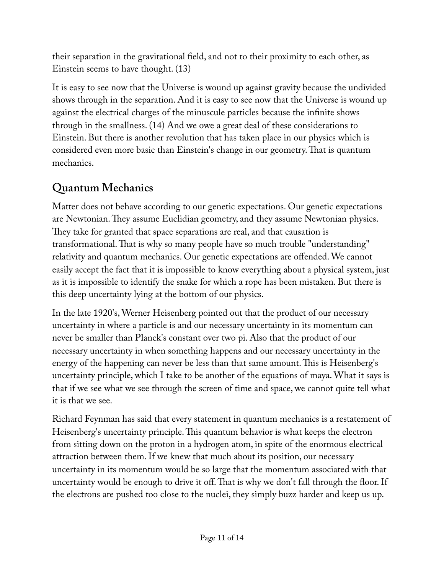their separation in the gravitational field, and not to their proximity to each other, as Einstein seems to have thought. (13)

It is easy to see now that the Universe is wound up against gravity because the undivided shows through in the separation. And it is easy to see now that the Universe is wound up against the electrical charges of the minuscule particles because the infinite shows through in the smallness. (14) And we owe a great deal of these considerations to Einstein. But there is another revolution that has taken place in our physics which is considered even more basic than Einstein's change in our geometry. That is quantum mechanics.

#### **Quantum Mechanics**

Matter does not behave according to our genetic expectations. Our genetic expectations are Newtonian. They assume Euclidian geometry, and they assume Newtonian physics. They take for granted that space separations are real, and that causation is transformational. That is why so many people have so much trouble "understanding" relativity and quantum mechanics. Our genetic expectations are offended. We cannot easily accept the fact that it is impossible to know everything about a physical system, just as it is impossible to identify the snake for which a rope has been mistaken. But there is this deep uncertainty lying at the bottom of our physics.

In the late 1920's, Werner Heisenberg pointed out that the product of our necessary uncertainty in where a particle is and our necessary uncertainty in its momentum can never be smaller than Planck's constant over two pi. Also that the product of our necessary uncertainty in when something happens and our necessary uncertainty in the energy of the happening can never be less than that same amount. This is Heisenberg's uncertainty principle, which I take to be another of the equations of maya. What it says is that if we see what we see through the screen of time and space, we cannot quite tell what it is that we see.

Richard Feynman has said that every statement in quantum mechanics is a restatement of Heisenberg's uncertainty principle. This quantum behavior is what keeps the electron from sitting down on the proton in a hydrogen atom, in spite of the enormous electrical attraction between them. If we knew that much about its position, our necessary uncertainty in its momentum would be so large that the momentum associated with that uncertainty would be enough to drive it off. That is why we don't fall through the floor. If the electrons are pushed too close to the nuclei, they simply buzz harder and keep us up.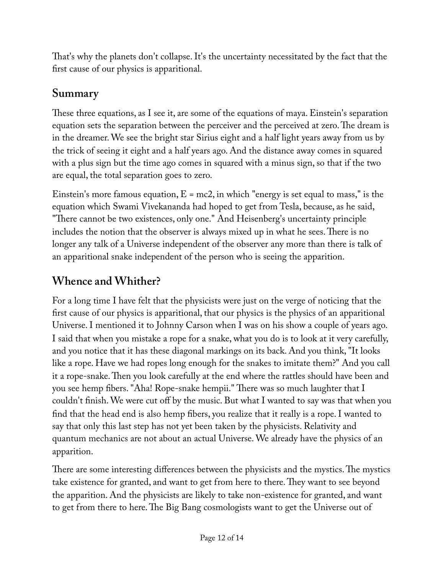That's why the planets don't collapse. It's the uncertainty necessitated by the fact that the first cause of our physics is apparitional.

#### **Summary**

These three equations, as I see it, are some of the equations of maya. Einstein's separation equation sets the separation between the perceiver and the perceived at zero. The dream is in the dreamer. We see the bright star Sirius eight and a half light years away from us by the trick of seeing it eight and a half years ago. And the distance away comes in squared with a plus sign but the time ago comes in squared with a minus sign, so that if the two are equal, the total separation goes to zero.

Einstein's more famous equation,  $E = mc2$ , in which "energy is set equal to mass," is the equation which Swami Vivekananda had hoped to get from Tesla, because, as he said, "There cannot be two existences, only one." And Heisenberg's uncertainty principle includes the notion that the observer is always mixed up in what he sees. There is no longer any talk of a Universe independent of the observer any more than there is talk of an apparitional snake independent of the person who is seeing the apparition.

# **Whence and Whither?**

For a long time I have felt that the physicists were just on the verge of noticing that the first cause of our physics is apparitional, that our physics is the physics of an apparitional Universe. I mentioned it to Johnny Carson when I was on his show a couple of years ago. I said that when you mistake a rope for a snake, what you do is to look at it very carefully, and you notice that it has these diagonal markings on its back. And you think, "It looks like a rope. Have we had ropes long enough for the snakes to imitate them?" And you call it a rope-snake. Then you look carefully at the end where the rattles should have been and you see hemp fibers. "Aha! Rope-snake hempii." There was so much laughter that I couldn't finish. We were cut off by the music. But what I wanted to say was that when you find that the head end is also hemp fibers, you realize that it really is a rope. I wanted to say that only this last step has not yet been taken by the physicists. Relativity and quantum mechanics are not about an actual Universe. We already have the physics of an apparition.

There are some interesting differences between the physicists and the mystics. The mystics take existence for granted, and want to get from here to there. They want to see beyond the apparition. And the physicists are likely to take non-existence for granted, and want to get from there to here. The Big Bang cosmologists want to get the Universe out of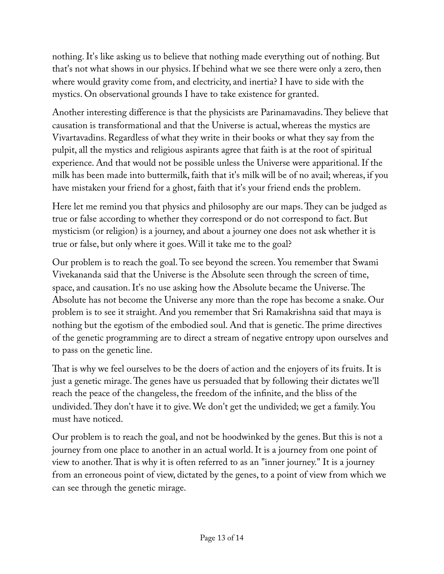nothing. It's like asking us to believe that nothing made everything out of nothing. But that's not what shows in our physics. If behind what we see there were only a zero, then where would gravity come from, and electricity, and inertia? I have to side with the mystics. On observational grounds I have to take existence for granted.

Another interesting difference is that the physicists are Parinamavadins. They believe that causation is transformational and that the Universe is actual, whereas the mystics are Vivartavadins. Regardless of what they write in their books or what they say from the pulpit, all the mystics and religious aspirants agree that faith is at the root of spiritual experience. And that would not be possible unless the Universe were apparitional. If the milk has been made into buttermilk, faith that it's milk will be of no avail; whereas, if you have mistaken your friend for a ghost, faith that it's your friend ends the problem.

Here let me remind you that physics and philosophy are our maps. They can be judged as true or false according to whether they correspond or do not correspond to fact. But mysticism (or religion) is a journey, and about a journey one does not ask whether it is true or false, but only where it goes. Will it take me to the goal?

Our problem is to reach the goal. To see beyond the screen. You remember that Swami Vivekananda said that the Universe is the Absolute seen through the screen of time, space, and causation. It's no use asking how the Absolute became the Universe. The Absolute has not become the Universe any more than the rope has become a snake. Our problem is to see it straight. And you remember that Sri Ramakrishna said that maya is nothing but the egotism of the embodied soul. And that is genetic. The prime directives of the genetic programming are to direct a stream of negative entropy upon ourselves and to pass on the genetic line.

That is why we feel ourselves to be the doers of action and the enjoyers of its fruits. It is just a genetic mirage. The genes have us persuaded that by following their dictates we'll reach the peace of the changeless, the freedom of the infinite, and the bliss of the undivided. They don't have it to give. We don't get the undivided; we get a family. You must have noticed.

Our problem is to reach the goal, and not be hoodwinked by the genes. But this is not a journey from one place to another in an actual world. It is a journey from one point of view to another. Tat is why it is often referred to as an "inner journey." It is a journey from an erroneous point of view, dictated by the genes, to a point of view from which we can see through the genetic mirage.